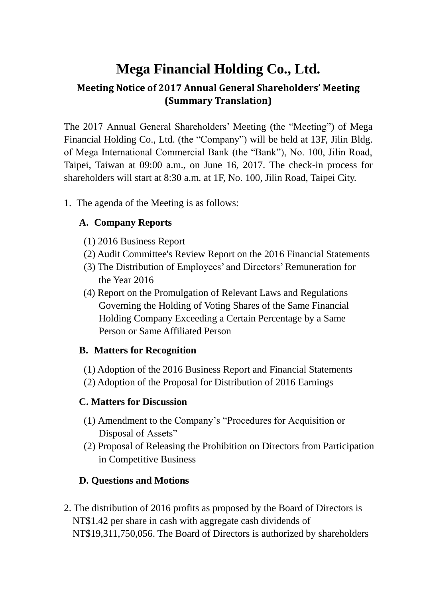# **Mega Financial Holding Co., Ltd.**

## **Meeting Notice of 2017 Annual General Shareholders' Meeting (Summary Translation)**

The 2017 Annual General Shareholders' Meeting (the "Meeting") of Mega Financial Holding Co., Ltd. (the "Company") will be held at 13F, Jilin Bldg. of Mega International Commercial Bank (the "Bank"), No. 100, Jilin Road, Taipei, Taiwan at 09:00 a.m., on June 16, 2017. The check-in process for shareholders will start at 8:30 a.m. at 1F, No. 100, Jilin Road, Taipei City.

1. The agenda of the Meeting is as follows:

### **A. Company Reports**

- (1) 2016 Business Report
- (2) Audit Committee's Review Report on the 2016 Financial Statements
- (3) The Distribution of Employees' and Directors' Remuneration for the Year 2016
- (4) Report on the Promulgation of Relevant Laws and Regulations Governing the Holding of Voting Shares of the Same Financial Holding Company Exceeding a Certain Percentage by a Same Person or Same Affiliated Person

#### **B. Matters for Recognition**

- (1) Adoption of the 2016 Business Report and Financial Statements
- (2) Adoption of the Proposal for Distribution of 2016 Earnings

#### **C. Matters for Discussion**

- (1) Amendment to the Company's "Procedures for Acquisition or Disposal of Assets"
- (2) Proposal of Releasing the Prohibition on Directors from Participation in Competitive Business

#### **D. Questions and Motions**

2. The distribution of 2016 profits as proposed by the Board of Directors is NT\$1.42 per share in cash with aggregate cash dividends of NT\$19,311,750,056. The Board of Directors is authorized by shareholders